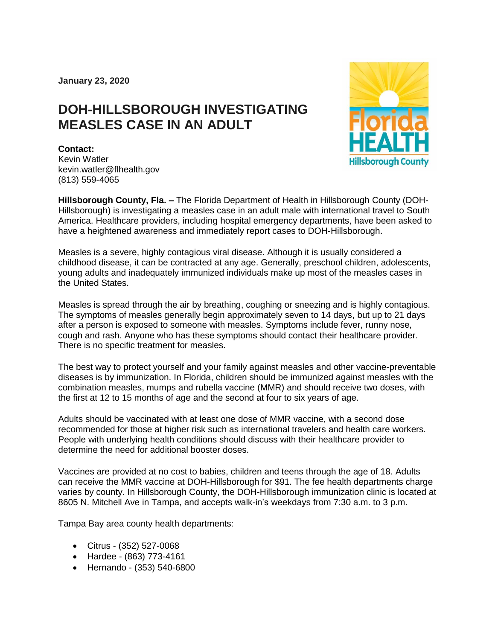**January 23, 2020**

## **DOH-HILLSBOROUGH INVESTIGATING MEASLES CASE IN AN ADULT**



## **Contact:**

Kevin Watler kevin.watler@flhealth.gov (813) 559-4065

**Hillsborough County, Fla. –** The Florida Department of Health in Hillsborough County (DOH-Hillsborough) is investigating a measles case in an adult male with international travel to South America. Healthcare providers, including hospital emergency departments, have been asked to have a heightened awareness and immediately report cases to DOH-Hillsborough.

Measles is a severe, highly contagious viral disease. Although it is usually considered a childhood disease, it can be contracted at any age. Generally, preschool children, adolescents, young adults and inadequately immunized individuals make up most of the measles cases in the United States.

Measles is spread through the air by breathing, coughing or sneezing and is highly contagious. The symptoms of measles generally begin approximately seven to 14 days, but up to 21 days after a person is exposed to someone with measles. Symptoms include fever, runny nose, cough and rash. Anyone who has these symptoms should contact their healthcare provider. There is no specific treatment for measles.

The best way to protect yourself and your family against measles and other vaccine-preventable diseases is by immunization. In Florida, children should be immunized against measles with the combination measles, mumps and rubella vaccine (MMR) and should receive two doses, with the first at 12 to 15 months of age and the second at four to six years of age.

Adults should be vaccinated with at least one dose of MMR vaccine, with a second dose recommended for those at higher risk such as international travelers and health care workers. People with underlying health conditions should discuss with their healthcare provider to determine the need for additional booster doses.

Vaccines are provided at no cost to babies, children and teens through the age of 18. Adults can receive the MMR vaccine at DOH-Hillsborough for \$91. The fee health departments charge varies by county. In Hillsborough County, the DOH-Hillsborough immunization clinic is located at 8605 N. Mitchell Ave in Tampa, and accepts walk-in's weekdays from 7:30 a.m. to 3 p.m.

Tampa Bay area county health departments:

- Citrus (352) 527-0068
- Hardee (863) 773-4161
- Hernando (353) 540-6800